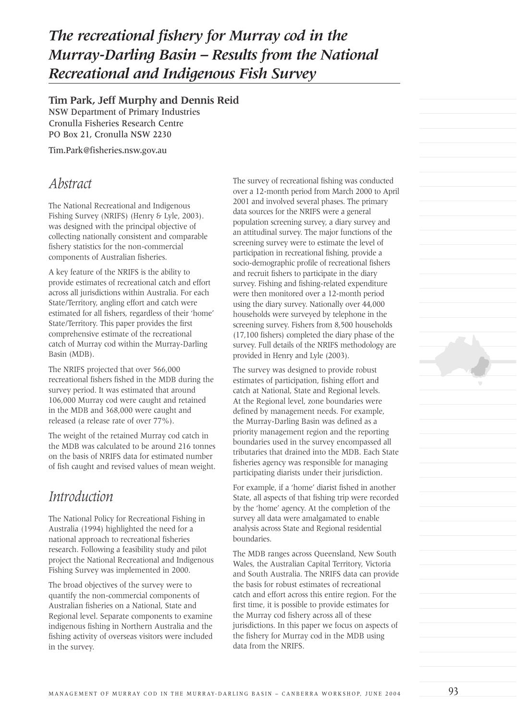# *The recreational fishery for Murray cod in the Murray-Darling Basin – Results from the National Recreational and Indigenous Fish Survey*

#### **Tim Park, Jeff Murphy and Dennis Reid**

NSW Department of Primary Industries Cronulla Fisheries Research Centre PO Box 21, Cronulla NSW 2230

Tim.Park@fisheries.nsw.gov.au

#### *Abstract*

The National Recreational and Indigenous Fishing Survey (NRIFS) (Henry & Lyle, 2003). was designed with the principal objective of collecting nationally consistent and comparable fishery statistics for the non-commercial components of Australian fisheries.

A key feature of the NRIFS is the ability to provide estimates of recreational catch and effort across all jurisdictions within Australia. For each State/Territory, angling effort and catch were estimated for all fishers, regardless of their 'home' State/Territory. This paper provides the first comprehensive estimate of the recreational catch of Murray cod within the Murray-Darling Basin (MDB).

The NRIFS projected that over 566,000 recreational fishers fished in the MDB during the survey period. It was estimated that around 106,000 Murray cod were caught and retained in the MDB and 368,000 were caught and released (a release rate of over 77%).

The weight of the retained Murray cod catch in the MDB was calculated to be around 216 tonnes on the basis of NRIFS data for estimated number of fish caught and revised values of mean weight.

## *Introduction*

The National Policy for Recreational Fishing in Australia (1994) highlighted the need for a national approach to recreational fisheries research. Following a feasibility study and pilot project the National Recreational and Indigenous Fishing Survey was implemented in 2000.

The broad objectives of the survey were to quantify the non-commercial components of Australian fisheries on a National, State and Regional level. Separate components to examine indigenous fishing in Northern Australia and the fishing activity of overseas visitors were included in the survey.

The survey of recreational fishing was conducted over a 12-month period from March 2000 to April 2001 and involved several phases. The primary data sources for the NRIFS were a general population screening survey, a diary survey and an attitudinal survey. The major functions of the screening survey were to estimate the level of participation in recreational fishing, provide a socio-demographic profile of recreational fishers and recruit fishers to participate in the diary survey. Fishing and fishing-related expenditure were then monitored over a 12-month period using the diary survey. Nationally over 44,000 households were surveyed by telephone in the screening survey. Fishers from 8,500 households (17,100 fishers) completed the diary phase of the survey. Full details of the NRIFS methodology are provided in Henry and Lyle (2003).

The survey was designed to provide robust estimates of participation, fishing effort and catch at National, State and Regional levels. At the Regional level, zone boundaries were defined by management needs. For example, the Murray-Darling Basin was defined as a priority management region and the reporting boundaries used in the survey encompassed all tributaries that drained into the MDB. Each State fisheries agency was responsible for managing participating diarists under their jurisdiction.

For example, if a 'home' diarist fished in another State, all aspects of that fishing trip were recorded by the 'home' agency. At the completion of the survey all data were amalgamated to enable analysis across State and Regional residential boundaries.

The MDB ranges across Queensland, New South Wales, the Australian Capital Territory, Victoria and South Australia. The NRIFS data can provide the basis for robust estimates of recreational catch and effort across this entire region. For the first time, it is possible to provide estimates for the Murray cod fishery across all of these jurisdictions. In this paper we focus on aspects of the fishery for Murray cod in the MDB using data from the NRIFS.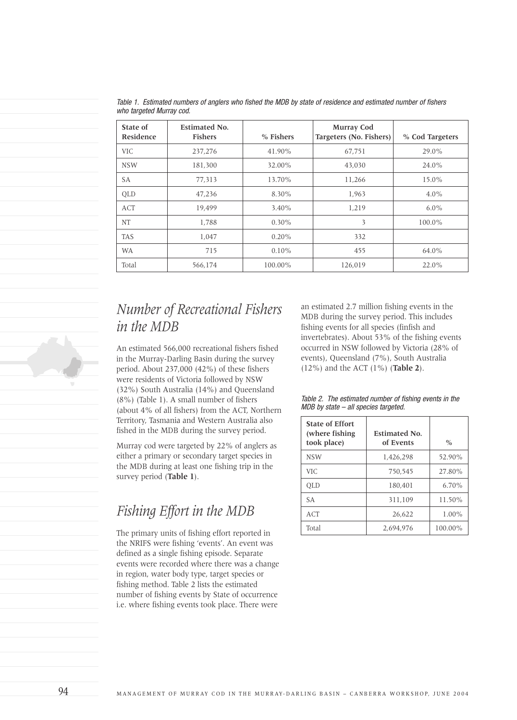| <b>State of</b><br>Residence | <b>Estimated No.</b><br><b>Fishers</b> | % Fishers | <b>Murray Cod</b><br>Targeters (No. Fishers) | % Cod Targeters |
|------------------------------|----------------------------------------|-----------|----------------------------------------------|-----------------|
| <b>VIC</b>                   | 237,276                                | 41.90%    | 67,751                                       | $29.0\%$        |
| <b>NSW</b>                   | 181,300                                | 32.00%    | 43,030                                       | 24.0%           |
| SA                           | 77,313                                 | 13.70%    | 11,266                                       | 15.0%           |
| <b>OLD</b>                   | 47,236                                 | 8.30%     | 1,963                                        | $4.0\%$         |
| ACT                          | 19.499                                 | $3.40\%$  | 1,219                                        | $6.0\%$         |
| NT                           | 1.788                                  | $0.30\%$  | 3                                            | 100.0%          |
| <b>TAS</b>                   | 1,047                                  | $0.20\%$  | 332                                          |                 |
| <b>WA</b>                    | 715                                    | $0.10\%$  | 455                                          | 64.0%           |
| Total                        | 566,174                                | 100.00%   | 126,019                                      | $22.0\%$        |

Table 1. Estimated numbers of anglers who fished the MDB by state of residence and estimated number of fishers who targeted Murray cod.

# *Number of Recreational Fishers in the MDB*

An estimated 566,000 recreational fishers fished in the Murray-Darling Basin during the survey period. About 237,000 (42%) of these fishers were residents of Victoria followed by NSW (32%) South Australia (14%) and Queensland (8%) (Table 1). A small number of fishers (about 4% of all fishers) from the ACT, Northern Territory, Tasmania and Western Australia also fished in the MDB during the survey period.

Murray cod were targeted by 22% of anglers as either a primary or secondary target species in the MDB during at least one fishing trip in the survey period (**Table 1**).

## *Fishing Effort in the MDB*

The primary units of fishing effort reported in the NRIFS were fishing 'events'. An event was defined as a single fishing episode. Separate events were recorded where there was a change in region, water body type, target species or fishing method. Table 2 lists the estimated number of fishing events by State of occurrence i.e. where fishing events took place. There were

an estimated 2.7 million fishing events in the MDB during the survey period. This includes fishing events for all species (finfish and invertebrates). About 53% of the fishing events occurred in NSW followed by Victoria (28% of events), Queensland (7%), South Australia (12%) and the ACT (1%) (**Table 2**).

Table 2. The estimated number of fishing events in the MDB by state – all species targeted.

| <b>State of Effort</b><br>(where fishing)<br>took place) | <b>Estimated No.</b><br>of Events | $\frac{0}{0}$ |  |
|----------------------------------------------------------|-----------------------------------|---------------|--|
| <b>NSW</b>                                               | 1,426,298                         | 52.90%        |  |
| VIC.                                                     | 750.545                           | 27.80%        |  |
| <b>OLD</b>                                               | 180.401                           | $6.70\%$      |  |
| <b>SA</b>                                                | 311.109                           | 11.50%        |  |
| ACT                                                      | 26,622                            | $1.00\%$      |  |
| Total                                                    | 2.694.976                         | 100.00%       |  |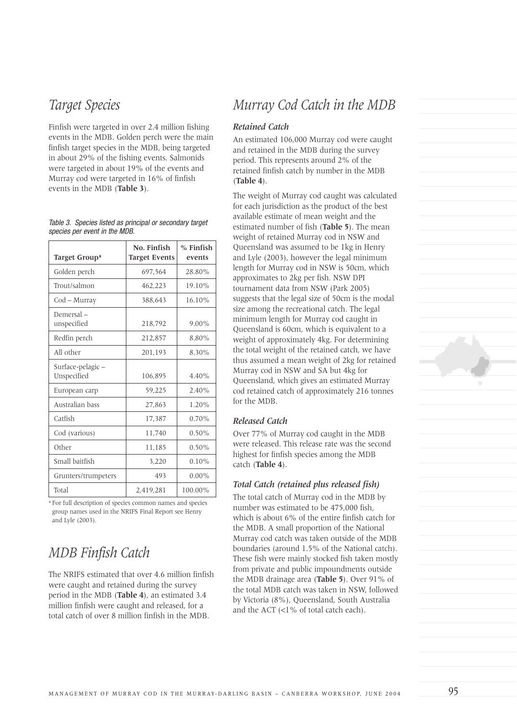#### *Target Species*

Finfish were targeted in over 2.4 million fishing events in the MDB. Golden perch were the main finfish target species in the MDB, being targeted in about 29% of the fishing events. Salmonids were targeted in about 19% of the events and Murray cod were targeted in 16% of finfish events in the MDB (**Table 3**).

| Target Group*                    | No. Finfish<br><b>Target Events</b> | % Finfish<br>events |  |
|----------------------------------|-------------------------------------|---------------------|--|
| Golden perch                     | 697,564                             | 28.80%              |  |
| Trout/salmon                     | 462,223                             | 19.10%              |  |
| Cod - Murray                     | 388.643                             | 16.10%              |  |
| Demersal-<br>unspecified         | 218,792                             | $9.00\%$            |  |
| Redfin perch                     | 212,857                             | 8.80%               |  |
| All other                        | 201,193                             | 8.30%               |  |
| Surface-pelagic –<br>Unspecified | 106,895                             | 4.40%               |  |
| European carp                    | 59,225                              | 2.40%               |  |
| Australian bass                  | 27,863                              | $1.20\%$            |  |
| Catfish                          | 17,387                              | 0.70%               |  |
| Cod (various)                    | 11,740                              | $0.50\%$            |  |
| Other                            | 11,185                              | $0.50\%$            |  |
| Small baitfish                   | 3,220                               | $0.10\%$            |  |
| Grunters/trumpeters              | 493                                 | $0.00\%$            |  |
| Total                            | 2,419,281                           | 100.00%             |  |

Table 3. Species listed as principal or secondary target species per event in the MDB.

\* For full description of species common names and species group names used in the NRIFS Final Report see Henry and Lyle (2003).

#### *MDB Finfish Catch*

The NRIFS estimated that over 4.6 million finfish were caught and retained during the survey period in the MDB (**Table 4**), an estimated 3.4 million finfish were caught and released, for a total catch of over 8 million finfish in the MDB.

### *Murray Cod Catch in the MDB*

#### *Retained Catch*

An estimated 106,000 Murray cod were caught and retained in the MDB during the survey period. This represents around 2% of the retained finfish catch by number in the MDB (**Table 4**).

The weight of Murray cod caught was calculated for each jurisdiction as the product of the best available estimate of mean weight and the estimated number of fish (**Table 5**). The mean weight of retained Murray cod in NSW and Queensland was assumed to be 1kg in Henry and Lyle (2003), however the legal minimum length for Murray cod in NSW is 50cm, which approximates to 2kg per fish. NSW DPI tournament data from NSW (Park 2005) suggests that the legal size of 50cm is the modal size among the recreational catch. The legal minimum length for Murray cod caught in Queensland is 60cm, which is equivalent to a weight of approximately 4kg. For determining the total weight of the retained catch, we have thus assumed a mean weight of 2kg for retained Murray cod in NSW and SA but 4kg for Queensland, which gives an estimated Murray cod retained catch of approximately 216 tonnes for the MDB.

#### *Released Catch*

Over 77% of Murray cod caught in the MDB were released. This release rate was the second highest for finfish species among the MDB catch (**Table 4**).

#### *Total Catch (retained plus released fish)*

The total catch of Murray cod in the MDB by number was estimated to be 475,000 fish, which is about 6% of the entire finfish catch for the MDB. A small proportion of the National Murray cod catch was taken outside of the MDB boundaries (around 1.5% of the National catch). These fish were mainly stocked fish taken mostly from private and public impoundments outside the MDB drainage area (**Table 5**). Over 91% of the total MDB catch was taken in NSW, followed by Victoria (8%), Queensland, South Australia and the ACT  $\langle$ <1% of total catch each).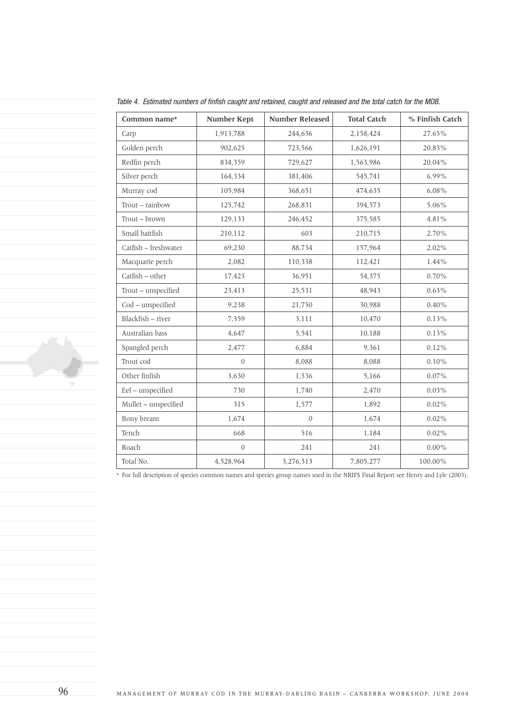| Common name*         | Number Kept  | <b>Number Released</b> | <b>Total Catch</b> | % Finfish Catch |  |
|----------------------|--------------|------------------------|--------------------|-----------------|--|
| Carp                 | 1,913,788    | 244,636                | 2,158,424          | 27.65%          |  |
| Golden perch         | 902,625      | 723,566                | 1,626,191          | 20.83%          |  |
| Redfin perch         | 834,359      | 729,627<br>1,563,986   |                    | 20.04%          |  |
| Silver perch         | 164,334      | 381,406                | 545,741            | 6.99%           |  |
| Murray cod           | 105,984      | 368,651<br>474,635     |                    | $6.08\%$        |  |
| Trout - rainbow      | 125,742      | 268,831<br>394,573     |                    | 5.06%           |  |
| Trout - brown        | 129,133      | 246,452                | 375,585            | 4.81%           |  |
| Small baitfish       | 210,112      | 603                    | 210,715            | 2.70%           |  |
| Catfish - freshwater | 69,230       | 88,734                 | 157,964            | 2.02%           |  |
| Macquarie perch      | 2,082        | 110,338                | 112,421            | 1.44%           |  |
| Catfish - other      | 17,423       | 36,951                 | 54,375             |                 |  |
| Trout - unspecified  | 23,413       | 25,531                 | 48,943             | $0.63\%$        |  |
| Cod - unspecified    | 9,238        | 21,750<br>30,988       |                    | $0.40\%$        |  |
| Blackfish - river    | 7,359        | 10,470<br>3,111        |                    | 0.13%           |  |
| Australian bass      | 4,647        | 5,541                  | 10,188             | $0.13\%$        |  |
| Spangled perch       | 2,477        | 6,884<br>9,361         |                    | 0.12%           |  |
| Trout cod            | $\theta$     | 8,088<br>8,088         |                    | $0.10\%$        |  |
| Other finfish        | 3,630        | 1,536                  | 5,166              |                 |  |
| Eel - unspecified    | 730          | 1,740<br>2,470         |                    | $0.03\%$        |  |
| Mullet - unspecified | 315          | 1,577                  | 1,892              | $0.02\%$        |  |
| Bony bream           | 1,674        | $\overline{0}$         | 1,674              | $0.02\%$        |  |
| Tench                | 668          | 516                    | 1,184              | $0.02\%$        |  |
| Roach                | $\mathbf{0}$ | 241                    | 241                | $0.00\%$        |  |
| Total No.            | 4,528,964    | 3,276,313              | 7,805,277          | 100.00%         |  |

Table 4. Estimated numbers of finfish caught and retained, caught and released and the total catch for the MDB.

\* For full description of species common names and species group names used in the NRIFS Final Report see Henry and Lyle (2003).